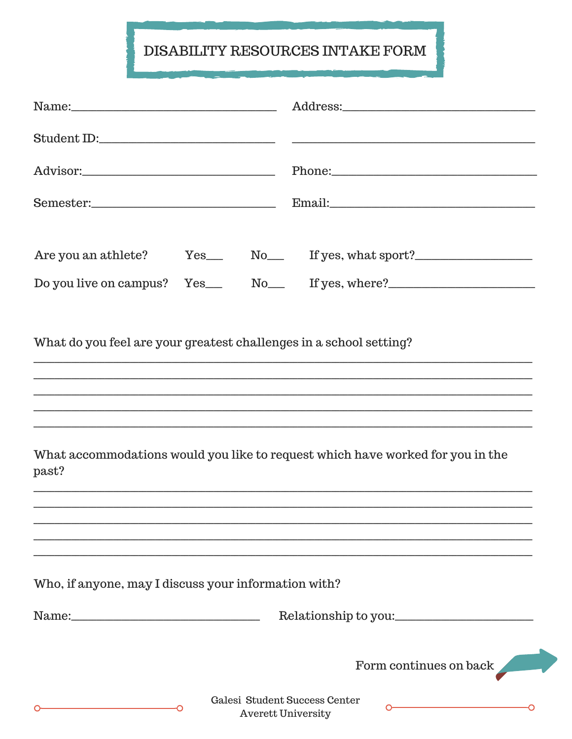## DISABILITY RESOURCES INTAKE FORM

|                                                                    |  | Phone: 2000 and 2000 and 2000 and 2000 and 2000 and 2000 and 2000 and 2000 and 2000 and 2000 and 200 |  |  |
|--------------------------------------------------------------------|--|------------------------------------------------------------------------------------------------------|--|--|
|                                                                    |  |                                                                                                      |  |  |
|                                                                    |  | Are you an athlete? Yes No If yes, what sport?                                                       |  |  |
|                                                                    |  |                                                                                                      |  |  |
| What do you feel are your greatest challenges in a school setting? |  |                                                                                                      |  |  |
| past?                                                              |  | What accommodations would you like to request which have worked for you in the                       |  |  |
|                                                                    |  |                                                                                                      |  |  |
| Who, if anyone, may I discuss your information with?               |  |                                                                                                      |  |  |
|                                                                    |  | Relationship to you:                                                                                 |  |  |
|                                                                    |  | Form continues on back                                                                               |  |  |

C

 $\mathsf{C}$ 

Ō